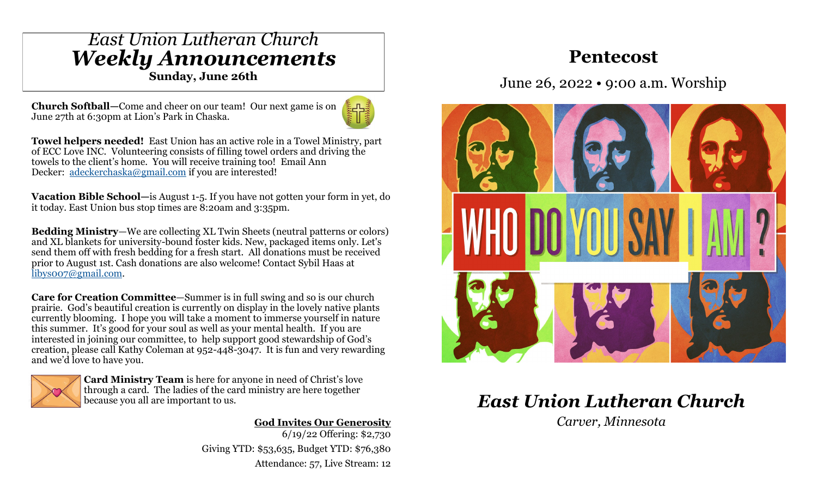## *East Union Lutheran Church Weekly Announcements*

**Sunday, June 26th**

**Church Softball—**Come and cheer on our team! Our next game is on June 27th at 6:30pm at Lion's Park in Chaska.



**Towel helpers needed!** East Union has an active role in a Towel Ministry, part of ECC Love INC. Volunteering consists of filling towel orders and driving the towels to the client's home. You will receive training too! Email Ann Decker: [adeckerchaska@gmail.com](mailto:adeckerchaska@gmail.com) if you are interested!

**Vacation Bible School—**is August 1-5. If you have not gotten your form in yet, do it today. East Union bus stop times are 8:20am and 3:35pm.

**Bedding Ministry**—We are collecting XL Twin Sheets (neutral patterns or colors) and XL blankets for university-bound foster kids. New, packaged items only. Let's send them off with fresh bedding for a fresh start. All donations must be received prior to August 1st. Cash donations are also welcome! Contact Sybil Haas at [libys007@gmail.com.](mailto:libys007@gmail.com)

**Care for Creation Committee**—Summer is in full swing and so is our church prairie. God's beautiful creation is currently on display in the lovely native plants currently blooming. I hope you will take a moment to immerse yourself in nature this summer. It's good for your soul as well as your mental health. If you are interested in joining our committee, to help support good stewardship of God's creation, please call Kathy Coleman at 952-448-3047. It is fun and very rewarding and we'd love to have you.



**Card Ministry Team** is here for anyone in need of Christ's love through a card. The ladies of the card ministry are here together because you all are important to us.

> **God Invites Our Generosity** 6/19/22 Offering: \$2,730 Giving YTD: \$53,635, Budget YTD: \$76,380 Attendance: 57, Live Stream: 12

## **Pentecost**

June 26, 2022 • 9:00 a.m. Worship



# *East Union Lutheran Church*

*Carver, Minnesota*